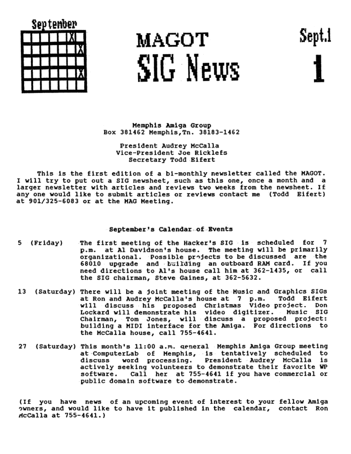| Sep tember |  |  |  |  |  |       |  |
|------------|--|--|--|--|--|-------|--|
|            |  |  |  |  |  |       |  |
|            |  |  |  |  |  |       |  |
|            |  |  |  |  |  |       |  |
|            |  |  |  |  |  | الارا |  |
|            |  |  |  |  |  |       |  |

## MAGOT SIG News

Sept.l

Memphis Amiga Group Box 381462 Memphis. Tn. 38183-1462

President Audrey McCalla Vice-President Joe Ricklefs Secretary Todd Bifert

This is the first edition of a bi-monthly newsletter called the MAGOT. I will try to put out a SIG newsheet, such as this one, once a month and a larger newsletter with articles and reviews two weeks from the newsheet. If any one would like to submit articles or reviews contact me (Todd Eifert) at 901/325-6083 or at the MAG Meeting.

## September's Calendar of Events

- The first meeting of the Hacker's SIG is scheduled for 7 (Friday) p.m. at Al Davidson's house. The meeting will be primarily<br>organizational. Possible projects to be discussed are the 68010 upgrade and building an outboard RAM card. If you need directions to Al's house call him at 362-1435, or call the SIG chairman, Steve Gaines, at 362-5632.
- 13 (Saturday) There will be a joint meeting of the Husic and Graphics SIGs at Ron and Audrey McCalla's house at 7 p.m. Todd Bifert<br>will discuss his proposed Christmas Video project. Don<br>Lockard will demonstrate his video digitizer. Music BiG<br>Chairman, Tom Jones, will discuss a proposed project: building a MIDI interface for the Amiga. For directions to the McCalla house, call 755-4641.
- (Saturday) This month's 11:00 a.m. general Memphis Amiga Group meeting 27 at ComputerLab of Memphis, is tentatively scheduled to discuss word processing. President Audrey McCalla is<br>actively seeking volunteers to demonstrate their favorite WP software. Call her at 755-4641 if you have commercial or public domain software to demonstrate.

(If you have news of an upcoming event of interest to your fellow Amiga owners, and would like to have it published in the calendar, contact Ron AcCalla at 755-4641.)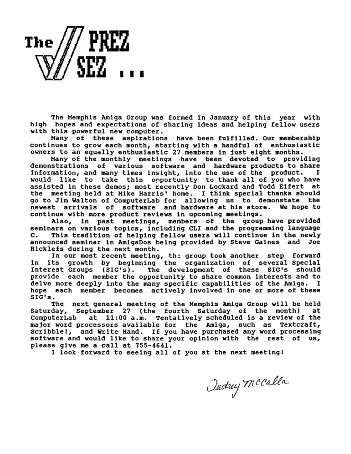**The/llPREZ**   $\mathbb{W}/\mathbb{S}$ EZ  $\cdots$ 

The Memphis Amiga Group was formed in January of this year with hopes and expectations of sharing ideas and helping fellow users with this powerful new computer.

Many of these aspirations have been fulfilled. Our membership continues to grow each month, starting vlth a handful of enthusiastic ovners to an equally enthusiastic *21* members ln just eight months.

demonstrations of various software and hardware products to share<br>information, and many times insight, into the use of the product. I<br>would like to take this opportunity to thank all of you who have<br>assisted in these demos newest arrivals of software and hardware at his store. We hope to continue with more product reviews in upcoming meetings, and hardware at his store. We hope to continue with and allow and  $\lambda$ 

seminars on various topics, including CLI and the programming language<br>C. This tradition of helping fellow users will continue in the newly

announced seminar in AmigaDos being provided by Steve Gaines and Joe<br>Ricklefs during the next month.<br>In our most recent meeting, the group took another step forward<br>in its growth by beginning the organization of several Sp delve more deeply into the many specific capabilities of the Amiga. I<br>hope each member becomes actively involved in one or more of these<br>SIG's. The mext general meeting of the Memphis Amiga Group will be held

Saturday, September 27 (the fourth Saturday of the month) at<br>ComputerLab at 11:00 a.m. Tentatively scheduled is a review of the<br>major word processors available for the Amiga, such as Textcraft, Scribble!, and Write Hand. If you have purchased any word processing<br>software and would like to share your opinion with the rest of us,<br>please qive me a call at 755-4641.

I look forward to seeing all of you at the next meeting!

audrey Mccalla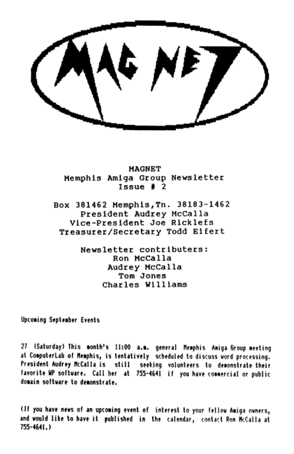**MAGNET** Memphis Amiga Group Newsletter  $I$ ssue # 2

Box 381462 Memphis, Tn. 38183-1462 President Audrey McCalla Vice-President Joe Ricklefs Treasurer/Secretary Todd Eifert

> Newsletter contributers: Ron McCalla Audrey McCalla  $T<sub>cm</sub>$ , Jones Charles Williams

**Upcoming September Events** 

27 (Saturday) This month's 11:00 a.m. general Memphis Amiga Group meeting at ComputerLab of Memphis, is tentatively scheduled to discuss vord processing. President Audrey McCalla is still seeking volunteers to demonstrate their favorite WP software. Call her at 755-4641 if you have connercial or public domain software to demonstrate.

(If you have news of an upcoming event of interest to your fellow Amiga owners, and would like to have it published in the calendar, contact Ron McCalla at 755-4641.1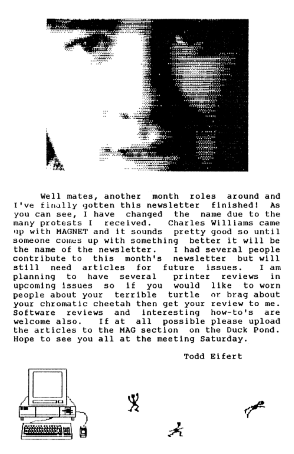

Well mates, another month roles around and I've finally gotten this newsletter finished! As you can see, I have changed the name due to the<br>many protests I received. Charles Williams came up with MAGNET and it sounds pretty good so until someone comes up with something better it will be the name of the newsletter. I had several people<br>contribute to this month's newsletter but will this month's newsletter but will<br>ticles for future issues  $I_{nm}$ still need articles for future issues. I am<br>planning to have several printer reviews in planning to have several printer reviews upcoming issues so if you would like to worn<br>people about your terrible turtle or brag about people about your terrible turtle your chromatic cheetah then get your review to me. Software reviews and interesting how-to's are welcome also. If at all possible please upload<br>the articles to the MAG section on the Duck Pond. Hope to see you all at the meeting Saturday.

Todd Elfert

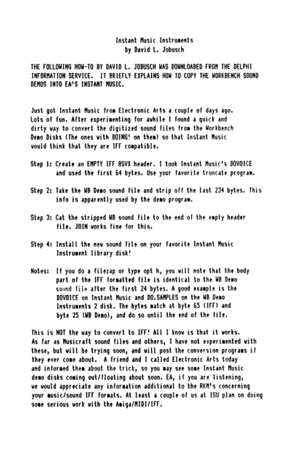## Instant Music Instruments hy David L. Johnsch

THE FOLLOWING HOW-TO BY DAVID L. JOBUSCH WAS DOWNLOADED FROM THE DELPHI INFORMATION SERVICE. IT ROISELY FYPLAINS HOW TO COPY THE MORERENCH SOUND DENOS INTO FA'S INSTANT NUSIC.

Just got Instant Music from Electronic Arts a couple of days ago. Lots of fun. After experimenting for awhile I found a quick and dirty way to convert the digitized sound files from the Workbench Demo Disks (The ones with BOING! on them) so that Instant Music would think that they are IFF compatible.

- Step 1: Create an EMPTY IFF BSVX header. I took Instant Music's DOVOICE and used the first 64 bytes. Use your favorite truncate program.
- Step 2: Take the WB Demo sound file and strip off the last 234 bytes. This info is apparently used by the demo program.
- Step 3: Cat the stripped WB sound file to the end of the empty header file, JDIN works fine for this.
- Step 4: Install the new sound file on your favorite Instant Music Instrument library disk!
- Notes: If you do a filezap or type opt h, you will note that the body part of the IFF formatted file is identical to the WB Demo sound file after the first 24 bytes. A good example is the DOVOICE on Instant Music and DO SAMPLES on the WB Demo Instruments 2 disk. The bytes match at byte 65 (IFF) and byte 25 (WB Demo), and do so until the end of the file.

This is NOT the way to convert to IFF! All I know is that it works. As far as Musicraft sound files and others, I have not experimented with these, but will be trying soon, and will nost the conversion programs if they ever come about. A friend and I called Electronic Arts today and informed them about the trick, so you may see some Instant Music demo disks coming out/floating about soon. EA, if you are listening. ve would appreciate any information additional to the RKM's concerning your music/sound IFF formats. At least a couple of us at ISU plan on doing some serious work with the Amiga/MIDI/IFF.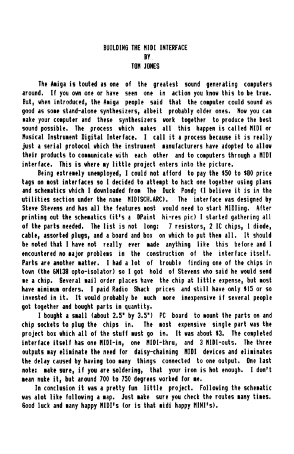The Amiga is touted as one of the greatest sound generating computers around. If you own one or have seen one in action you know this to be true. But, when introduced, the Amiga people said that the computer could sound as good as some stand-alone synthesizers, albeit probably older ones. Now you can make your computer and these synthesizers work together to produce the best sound possible. The process which makes all this happen is called MIDI or Musical Instrument Digital Interface. I call it a process because it is really just a serial protocol which the instrument manufacturers have adopted to allow their products to communicate with each other and to commuters through a NTDT interface. This is where my little project enters into the picture.

Being extremely unemployed. I could not afford to pay the \$50 to \$80 price tags on most interfaces so I decided to attempt to hack one together using plans and schematics which I downloaded from The Duck Pond: (I believe it is in the utilities section under the name MIDISCH.ARC). The interface was designed by Steve Stevens and has all the features most would need to start MIDIing. After printing out the schematics (it's a DPaint hi-res pic) I started gathering all of the parts needed. The list is not long: 7 resistors. 2 IC chips. 1 diode. cable, assorted plugs, and a board and box on which to put them all. It should be noted that I have not really ever made anything like this before and I encountered no major problems in the construction of the interface itself. Parts are another matter. I had a lot of trouble finding one of the chips in town (the SM138 onto-isolator) so I got hold of Stevens who said he would send no a chin. Several mail order places have the chin at little expense, but most have minimum orders. I paid Radio Shack prices and still have only \$15 or so invested in it. It would probably be much more inexpensive if several people got together and bought parts in guantity.

I bought a small (about 2.5" by 3.5") PC board to mount the parts on and chip sockets to plug the chips in. The most expensive single part was the project box which all of the stuff must go in. It was about \$3. The completed interface itself has one MIDI-in. one MIDI-thru. and 3 MIDI-outs. The three outputs may eliminate the need for daisy-chaining MIDI devices and eliminates the delay caused by having too many things connected to one output. One last note: make sure, if you are soldering, that your iron is hot enough. I don't mean nuke it, but around 700 to 750 degrees vorked for me.

In conclusion it was a pretty fun little project. Following the schematic was alot like following a map. Just make sure you check the routes many times. Good luck and many happy MIDI's (or is that midi happy MINI's).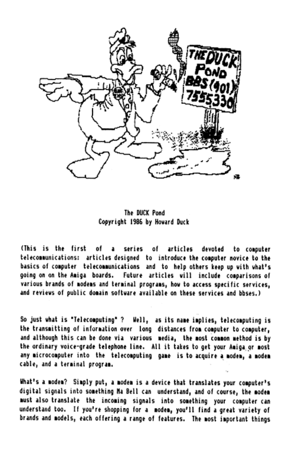

The DUCK Pond Copyright 1986 by Hovard Duck

(This is the first of a series of articles devoted to computer telecommunications: articles designed to introduce the computer novice to the basics of computer, telecommunications, and, to help others keep up with what's coinc on on the Amiga boards. Future articles vill include comparisons of various brands of modems and terminal programs, how to access specific services. and reviews of public domain software available on these services and bbses.)

So just what is "Telecomputing" ? Well, as its name implies, telecomputing is the transmitting of information over long distances from computer to computer. and although this can be done via various media, the most common method is by the ordinary voice-grade telephone line. All it takes to get your Amiga or most any microcomputer into the telecomputing game is to acquire a modem, a modem cable. and a terminal program.

What's a modem? Simply put, a modem is a device that translates your computer's digital signals into something Ma Bell can understand, and of course, the modem nust also translate the incoming signals into something your computer can understand too. If you're shopping for a modem, you'll find a great variety of brands and models. each offering a range of features. The most important things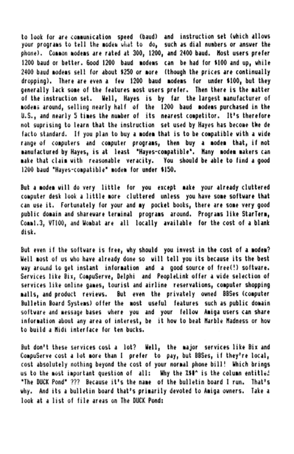to look for are communication speed (baud) and instruction set (which allows your programs to tell the modem what to do, such as dial numbers or answer the phone). Common modems are rated at 300, 1200, and 2400 baud. Most users prefer 1200 baud or better, Good 1200 baud modems can be had for \$100 and up, while 2400 baud modems sell for about \$250 or more (though the prices are continually dropping). There are even a few 1200 baud modems for under \$100, but they penerally lack some of the features most users prefer. Then there is the matter of the instruction set. Well. Haves is by far the largest manufacturer of modens around, selling nearly half of the 1200 baud modens purchased in the U.S., and nearly 5 times the number of its nearest competitor. It's therefore not suprising to learn that the instruction set used by Hayes has become the de facto standard. If you plan to buy a modem that is to be compatible with a wide range of computers and computer programs, then buy a modem that, if not manufactured by Haves, is at least "Haves-compatible". Many modem makers can make that claim with reasonable veracity. You should be able to find a good 1200 baud "Haves-compatible" modem for under \$150.

But a modem will do very little for you except make your already cluttered computer desk look a little more cluttered unless you have some software that can use it. Fortunately for your and my pocket books, there are some very good oublic domain and shareware terminal programs around. Programs like StarTerm. .<br>Commi.3. VT100, and Wombat are all locally available for the cost of a blank dick.

But even if the software is free, why should you invest in the cost of a modem? Well most of us who have already done so will tell you its because its the best way around to pet instant information and a pood source of free(!) software. Services like Bix. CompuServe, Delphi and PeopleLink offer a vide selection of services like online pames, tourist and airline reservations, computer shopping malls, and product revievs. But even the privately owned BBSes (computer Bulletin Board Systems) offer the most useful features such as public domain software and message bases, where you and your fellow Amiga users can share information about any area of interest, be it how to beat Marble Madness or how to build a Midi interface for ten bucks.

But don't these services cost a lot? Well, the major services like Bix and CompuServe cost a lot more than I prefer to pay, but BBSes if they're local, cost absolutely nothing beyond the cost of your normal phone bill! Which brings us to the most important question of all: Why the X50^ is the column entitled "The BUCK Pond" 222. Because it's the name, of the bulletin board I run. That's why. And its a bulletin board that's primarily devoted to Amina ovners. Take a look at a list of file areas on The DUCK Pond: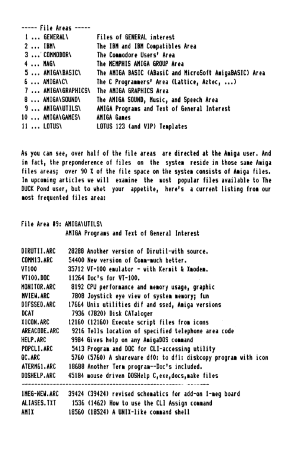|  | ----- File Areas -----  |                                                        |
|--|-------------------------|--------------------------------------------------------|
|  | 1  GENERAL\             | <b>Files of GENERAL interest</b>                       |
|  | $2$ IBM                 | The IBM and IBM Compatibles Area                       |
|  | 3  CONNODOR\            | The Commodore Users' Area                              |
|  | 4  MAG\                 | The MEMPHIS AMIGA GROUP Area                           |
|  | 5  AMIGA\BASIC\         | The AMIGA BASIC (ABasiC and MicroSoft AmigaBASIC) Area |
|  | 6  AMIGAICI             | The C Programmers' Area (Lattice, Aztec, )             |
|  | 7  AMIGA\GRAPHICS\      | The ANIGA GRAPHICS Area                                |
|  | 8  AMIGA\SOUND\         | The AMIGA SOUND, Music, and Speech Area                |
|  | <b>9 ANIGA\UTILS\</b>   | AMIGA Programs and Text of General Interest            |
|  | <b>10  AMIGA\GAMES\</b> | <b>AMIGA Games</b>                                     |
|  | <b>11  LOTUS\</b>       | LOTUS 123 (and VIP) Templates                          |
|  |                         |                                                        |

As you can see, over half of the file areas are directed at the Amiga user. And in fact, the preponderence of files on the system reside in those same Amiga files areas: over 90 % of the file space on the system consists of Amiga files. In upcoming articles we will examine the most popular files available to The DUCK Pond user, but to whet your appetite, here's a current listing from our most frequented files area:

File Area 89: ANIGANITII SV AMIGA Programs and Text of General Interest

 $\sim$ 

| DIRUTII.ARC       | 28288 Another version of Dirutil-with source.                   |
|-------------------|-----------------------------------------------------------------|
| COMM13.ARC        | 54400 New version of Comm-much better.                          |
| <b>VT100</b>      | 35712 VT-100 emulator - with Kermit & Xmodem.                   |
| VT100.DOC         | 11264 Doc's for VT-100.                                         |
| HONITOR.ARC       | 8192 CPU performance and memory usage, graphic                  |
| <b>NVIEW, ARC</b> | 7808 Joystick eye view of system memory; fun                    |
| DIFSSED.ARC       | 17664 Unix utilities dif and ssed, Amiga versions               |
| DCAT              | 7936 (7820) Disk CATaloger                                      |
| IICON.ARC         | 12160 (12160) Execute script files from icons                   |
| AREACODE, ARC     | 9216 Tells location of specified telephone area code            |
| <b>HELP.ARC</b>   | 9984 Gives help on any AmigaDOS command                         |
| POPCLI.ARC        | 5413 Program and DOC for CLI-accessing utility                  |
| QC.ARC            | 5760 (5760) A shareware df0: to df1: diskcopy program with icon |
| ATERN61.ARC       | 18688 Another Term program--Doc's included.                     |
| DOSHELP.ARC       | 45184 mouse driven DOSHelp C, exe, docs, make files             |
| INEG-NEW ARC      | 39424 (39424) revised schematics for add-on 1-meg board         |
| ALIASES. TXT      | 1536 (1462) How to use the CLI Assign command                   |
| AMIX              | 18560 (18524) A UNIX-like command shell                         |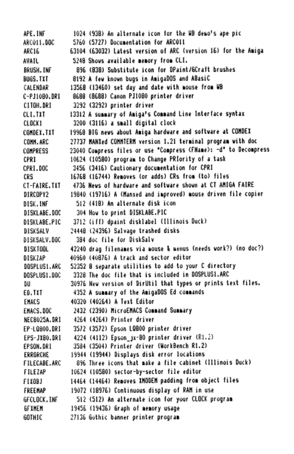APF . INF 1024 (93B) An alternate icon for the UB deso's ane pic ARC011-00C 5760 (5727) Documentation for ARCO11 **ARC16** 63104 (63032) Latest version of ARC (version 16) for the Amiga 5248 Shows available memory from CLI. **AVAIL** BRUSH, INC. 896 (838) Substitute icon for DPaint/6Craft brushes BUGS, TXT 8192 A few known bugs in AmigaDOS and ABasiC CALENDAR 1356B (13460) set day and date with mouse from WB 8688 (8688) Canon PJ1080 printer driver C-P.11080-0PE **TOR HOTLY** 3292 (3292) printer driver  $01.11$ 13312 A summary of Amiga's Command Line Interface syntax 3200 (3116) a small digital clock CLOCK1 19968 BIG news about Amiga hardware and software at COMDEX COMPET. TYT COMM. ARC 27737 MANXed COMMTERN version 1.21 terminal program with doc 23040 Compress files or use "Compress (FName): -d" to Decompress compores 10624 (10580) program to Change PRIority of a task CPRT CPRI.DOC 3456 (3416) Cautionary documentation for CPRI 16768 (16744) Removes (or adds) CRs from (to) files 293 4736 News of hardware and software shown at CT AMIGA FAIRE CT-FAIRE, TXT 19840 (19716) A (Manxed and improved) mouse driven file copier **DIRCOPY2** 512 (418) An alternate disk icon **DISK, INF** 304 How to print DISKLABE.PIC DISKLABE, DOC 3712 (iff) dpaint disklabel (Illinois Duck) DISKLARE PIC **DISKSALV** 2444B (24396) Salvage trashed disks 384 doc file for DiskSalv **BISKSALV, BBC** 42240 drag filenames via mouse & menus (needs work?) (no doc?) **BISKTON** 40960 (40876) A track and sector editor **DISK74P DOSPLUS1, ARC** 52352 8 separate utilities to add to your C directory 3328 The doc file that is included in DOSPLUS1.ARC 00SPLUS1, 00C DН 30976 New version of DirUtil that types or prints text files. ED.TIT 4352 A summary of the AmigaDOS Ed commands 40320 (40264) A Text Editor **FHACS FHACS, DOC** 2432 (2390) MicroENACS Command Summary NECB025A.DRT 4264 (4264) Printer driver 3572 (3572) Epson LQB00 printer driver FP-10800-0R1 4224 (4112) Epson ix-80 printer driver (R1.2) EPS-JX80.DRI FPSON, DRT 3584 (3504) Printer driver (WorkBench R1.2) 19944 (19944) Displays disk error locations **FRRARCHE** 896 Three icons that make a file cabinet (Illinois Duck) FILECARE ARC **FILETAP** 10624 (10580) sector-by-sector file editor 14464 (14464) Removes IMODEM padding from object files FIXORI **FREEMAP** 19072 (18976) Continuous disolay of RAM in use GECLOCK, INF 512 (512) An alternate icon for your CLOCK program 19456 (19436) Graph of nemory usage **GEXHEM GOTHIC** 27136 Gothic banner orinter orogram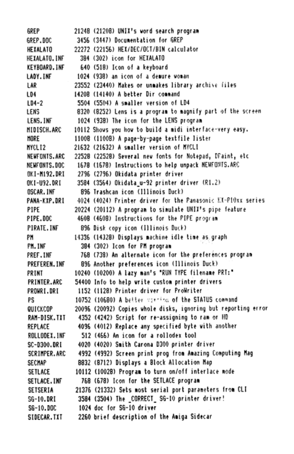**GREP** 21248 (21208) UNIX's word search propram 3456 (3447) Documentation for GREP GREP BOC HEYALATO 22272 (22156) HEX/DEC/OCT/BIN calculator HETALATO, INF 3B4 (302) icon for HEXALATO KEYBOARD, INF 640 (518) Icon of a keyboard LADY, INF 1024 (938) an icon of a denure youan 23552 (23440) Makes or unmakes library archive files 1.4P 104 14208 (14140) A hetter Dir command 5504 (5504) A smaller version of LD4  $LD4-2$ LENS 8320 (8252) Lens is a program to magnify part of the screen LENS, INF 1024 (938) The icon for the LENS program 10112 Shows you how to build a midi interface-very easy. MIDISCH, ARC HOPE 1100B (1100B) A page-by-page textfile lister MYCLI2 21632 (21632) A smaller version of MYCLI 22528 (22528) Several new fonts for Notenad, DFaint, etc. NEUEDNIS, ARC 1678 (1678) Instructions to help unpack NEWFONTS.ARC NEWFONTS, DOC. NK1-M192.DRT 2796 (2796) Okidata printer driver OK1-U92.DRI 3584 (3564) Okidata u-92 printer driver (R1.2) **OSCAR, INF** 896 Trashcan icon (Illinois Buck) 4024 (4024) Printer driver for the Panasonic EX-PlOxx series PANA-KIP.DRI 20224 (20112) A program to simulate UNIX's pipe feature PIPE **PTPE, DOC** 4608 (4608) Instructions for the PIPE program PIPATE INF 896 Disk copy icon (Illinois Duck) PN 14336 (14328) Disolavs machine idle time as graph PM. INF 384 (302) Icon for FM program 768 (738) An alternate icon for the preferences program PREF. INF PREFEREN, INF 896 Another preferences icon (Illinois Duck) 10240 (10200) A Lazy man's "RUN TYPE filename PRT:" PRINT 54400 Info to help write custom printer drivers PRINTER, ARC PROMRI.DRI 1152 (1128) Printer driver for ProWriter 10752 (10680) A better various of the STATUS compand PS QUICKCOP 20096 (20092) Copies whole disks, ignoring but reporting error 4352 (4242) Script for re-assigning to ram or HD **PAN-DISK.TYT** REPLACE 4096 (4012) Replace any specified byte with another 512 (466) An icon for a rollodex tool ROLLODEX, INF 4020 (4020) Smith Carona D300 printer driver SC-0300.0R1 SCRIMPER.ARC 4992 (4992) Screen print prog from Amazing Computing Mag 8832 (8712) Disolays a Block Allocation Man SECHAP SETLACE 10112 (10028) Program to turn on/off interlace mode SETLACE, INF 768 (678) Icon for the SETLACE program 21376 (21332) Sets most serial port parameters from CLI SETSERIA 3584 (3504) The CORRECT SG-10 printer driver! SG-10.DRI S6-10, DOC 1024 doc for SG-10 driver SIDECAR, TIT 2260 brief description of the Amiga Sidecar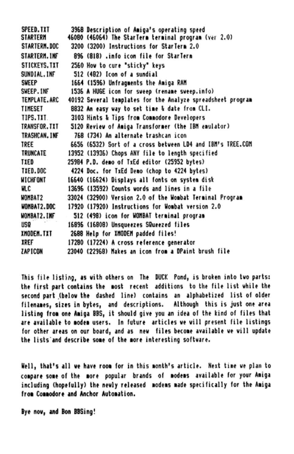COFFD TYT 3968 Description of Amiga's operating speed 46080 (46064) The StarTern terminal program (ver 2.0) **STARTERN** 3200 (3200) Instructions for StarTerm 2.0 STARTERN, DDC STARTFRM, INF 896 (818) .info icon file for StarTerm 2560 How to cure "sticky" keys STICKFYS, TYT SUNDTAL THE  $512$  (482) Icon of a sundial 1664 (1596) Unfragments the Amiga RAM **SWEEP** SWEEP, INF 1536 A HUGE icon for sweep (rename sweep.info) TEMPLATE, ARC 40192 Several templates for the Analyze spreadsheet program 8832 An easy vay to set time & date from CLT. TIMESET TIPS TIT 3103 Hints & Tips from Commodore Developers TRANSFOR, TXT 5120 Review of Amiga Transformer (the IBN emulator) TRASHCAN, INF 768 (734) An alternate trashcan icon 6656 (6532) Sort of a cross between LD4 and IBM's TREE.COM TRFF TRIMCATE 13952 (13936) Chops ANY file to length specified **TIED** 25984 P.D. demo of TxEd editor (25952 bytes) TXED, DOC 4224 Doc. for TxEd Demo (chop to 4224 bytes) **MICHFONT** 16640 (16624) Disolays all fonts on system disk 13696 (13592) Counts vords and lines in a file u c 33024 (32900) Version 2.0 of the Wombat Terminal Program **UNRAT2** 17920 (17920) Instructions for Wombat version 2.0 **WOMBAT2.DOC** UNIRAT2\_THE 512 (498) icon for UNRAT terminal program  $1150$ 16896 (1680B) Unsqueezes SQueezed files 2688 Help for XMODEM padded files! IMODEM. TXT **TREF** 17280 (17224) A cross reference nenerator **7491CON** 23040 (22968) Nakes an icon from a DPaint brush file

This file listing, as with others on The DUCK Pond, is broken into two parts: the first part contains the most recent additions to the file list while the second part (below the dashed line) contains an alphabetized list of older filenames, sizes in bytes, and descriptions. Although this is just one area listing from one Amiga BBS, it should give you an idea of the kind of files that are available to modem users. In future articles we will present file listings for other areas on our board, and as new files become available we will undate the lists and describe some of the more interesting softvare.

Well, that's all we have room for in this month's article. Next time we plan to compare some of the more oppular brands of modems available for your Amiga including (hopefully) the newly released modems made specifically for the Amiga from Commodore and Anchor Automation.

Bye now, and Bon BBSing!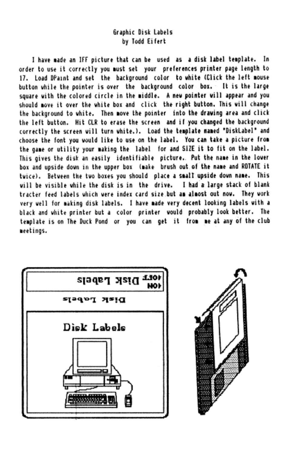## Graphic Disk Labels by Todd Eifert

I have made an IFF picture that can be used as a disk label template. In order to use it correctly you must set your preferences printer page length to 17. Load DPaint and set the background color to white (Click the left mouse button while the pointer is over the background color box. It is the large square with the colored circle in the middle. A new pointer will appear and you should move it over the white box and click the right button. This will change the background to white. Then move the pointer into the drawing area and click the left button. Hit CLR to erase the screen and if you changed the background correctly the screen will turn white.). Load the template maned "DiskLabel" and choose the font you would like to use on the label. You can take a picture from the game or utility your making the label for and SIZE it to fit on the label. This gives the disk an easily identifiable picture. Put the name in the lover box and upside down in the upper box (make brush out of the name and ROTATE it twice). Between the two boxes you should olace a small upside down name. This will be visible while the disk is in the drive. I had a large stack of blank tracter feed labels which were index card size but as alsost out now. They work very well for making disk labels. I have made very decent looking labels with a black and white printer but a color printer would probably look better. The template is on The Duck Pond or you can get it from me at any of the club meetings.